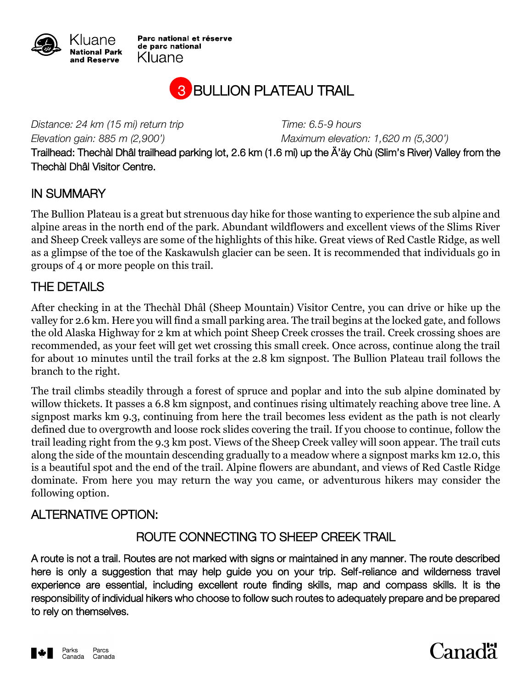

Parc national et réserve de parc national Kluane



*Distance: 24 km (15 mi) return trip Time: 6.5-9 hours*

*Elevation gain: 885 m (2,900') Maximum elevation: 1,620 m (5,300')*

Trailhead: Thechàl Dhâl trailhead parking lot, 2.6 km (1.6 mi) up the Ä'äy Chù (Slim's River) Valley from the Thechàl Dhâl Visitor Centre.

#### IN SUMMARY

The Bullion Plateau is a great but strenuous day hike for those wanting to experience the sub alpine and alpine areas in the north end of the park. Abundant wildflowers and excellent views of the Slims River and Sheep Creek valleys are some of the highlights of this hike. Great views of Red Castle Ridge, as well as a glimpse of the toe of the Kaskawulsh glacier can be seen. It is recommended that individuals go in groups of 4 or more people on this trail.

#### THE DETAILS

After checking in at the Thechàl Dhâl (Sheep Mountain) Visitor Centre, you can drive or hike up the valley for 2.6 km. Here you will find a small parking area. The trail begins at the locked gate, and follows the old Alaska Highway for 2 km at which point Sheep Creek crosses the trail. Creek crossing shoes are recommended, as your feet will get wet crossing this small creek. Once across, continue along the trail for about 10 minutes until the trail forks at the 2.8 km signpost. The Bullion Plateau trail follows the branch to the right.

The trail climbs steadily through a forest of spruce and poplar and into the sub alpine dominated by willow thickets. It passes a 6.8 km signpost, and continues rising ultimately reaching above tree line. A signpost marks km 9.3, continuing from here the trail becomes less evident as the path is not clearly defined due to overgrowth and loose rock slides covering the trail. If you choose to continue, follow the trail leading right from the 9.3 km post. Views of the Sheep Creek valley will soon appear. The trail cuts along the side of the mountain descending gradually to a meadow where a signpost marks km 12.0, this is a beautiful spot and the end of the trail. Alpine flowers are abundant, and views of Red Castle Ridge dominate. From here you may return the way you came, or adventurous hikers may consider the following option.

## ALTERNATIVE OPTION:

## ROUTE CONNECTING TO SHEEP CREEK TRAIL

A route is not a trail. Routes are not marked with signs or maintained in any manner. The route described here is only a suggestion that may help guide you on your trip. Self-reliance and wilderness travel experience are essential, including excellent route finding skills, map and compass skills. It is the responsibility of individual hikers who choose to follow such routes to adequately prepare and be prepared to rely on themselves.



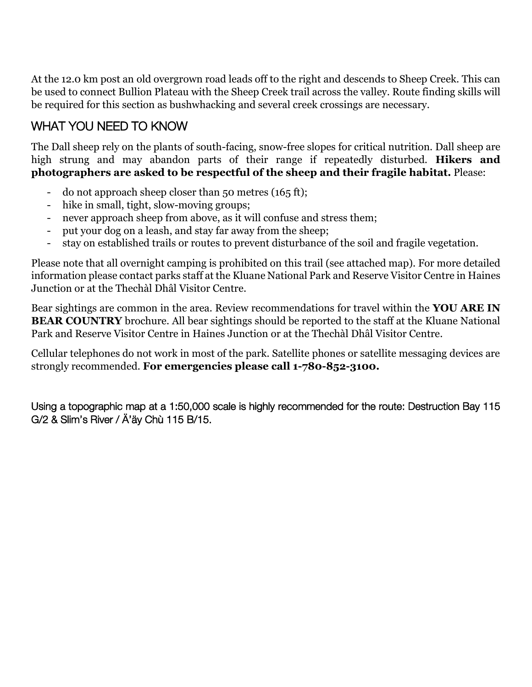At the 12.0 km post an old overgrown road leads off to the right and descends to Sheep Creek. This can be used to connect Bullion Plateau with the Sheep Creek trail across the valley. Route finding skills will be required for this section as bushwhacking and several creek crossings are necessary.

# WHAT YOU NEED TO KNOW

The Dall sheep rely on the plants of south-facing, snow-free slopes for critical nutrition. Dall sheep are high strung and may abandon parts of their range if repeatedly disturbed. **Hikers and photographers are asked to be respectful of the sheep and their fragile habitat.** Please:

- do not approach sheep closer than 50 metres (165 ft);
- hike in small, tight, slow-moving groups;
- never approach sheep from above, as it will confuse and stress them;
- put your dog on a leash, and stay far away from the sheep;
- stay on established trails or routes to prevent disturbance of the soil and fragile vegetation.

Please note that all overnight camping is prohibited on this trail (see attached map). For more detailed information please contact parks staff at the Kluane National Park and Reserve Visitor Centre in Haines Junction or at the Thechàl Dhâl Visitor Centre.

Bear sightings are common in the area. Review recommendations for travel within the **YOU ARE IN BEAR COUNTRY** brochure. All bear sightings should be reported to the staff at the Kluane National Park and Reserve Visitor Centre in Haines Junction or at the Thechàl Dhâl Visitor Centre.

Cellular telephones do not work in most of the park. Satellite phones or satellite messaging devices are strongly recommended. **For emergencies please call 1-780-852-3100.**

Using a topographic map at a 1:50,000 scale is highly recommended for the route: Destruction Bay 115 G/2 & Slim's River / Ä'äy Chù 115 B/15.